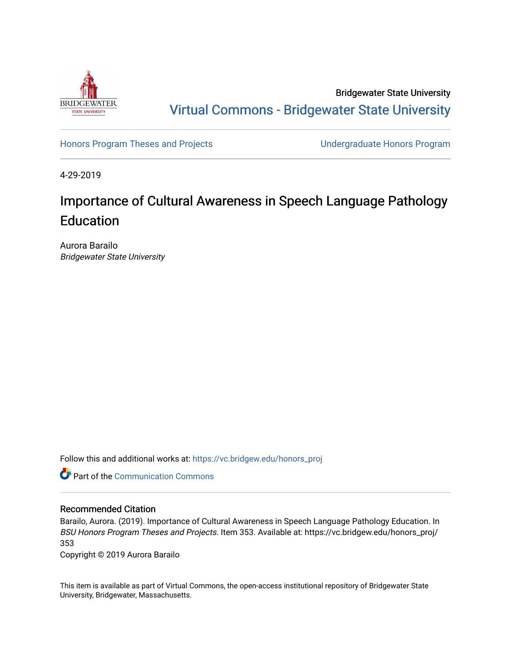

Bridgewater State University [Virtual Commons - Bridgewater State University](https://vc.bridgew.edu/) 

[Honors Program Theses and Projects](https://vc.bridgew.edu/honors_proj) [Undergraduate Honors Program](https://vc.bridgew.edu/honors) 

4-29-2019

# Importance of Cultural Awareness in Speech Language Pathology Education

Aurora Barailo Bridgewater State University

Follow this and additional works at: [https://vc.bridgew.edu/honors\\_proj](https://vc.bridgew.edu/honors_proj?utm_source=vc.bridgew.edu%2Fhonors_proj%2F353&utm_medium=PDF&utm_campaign=PDFCoverPages)



### Recommended Citation

Barailo, Aurora. (2019). Importance of Cultural Awareness in Speech Language Pathology Education. In BSU Honors Program Theses and Projects. Item 353. Available at: https://vc.bridgew.edu/honors\_proj/ 353

Copyright © 2019 Aurora Barailo

This item is available as part of Virtual Commons, the open-access institutional repository of Bridgewater State University, Bridgewater, Massachusetts.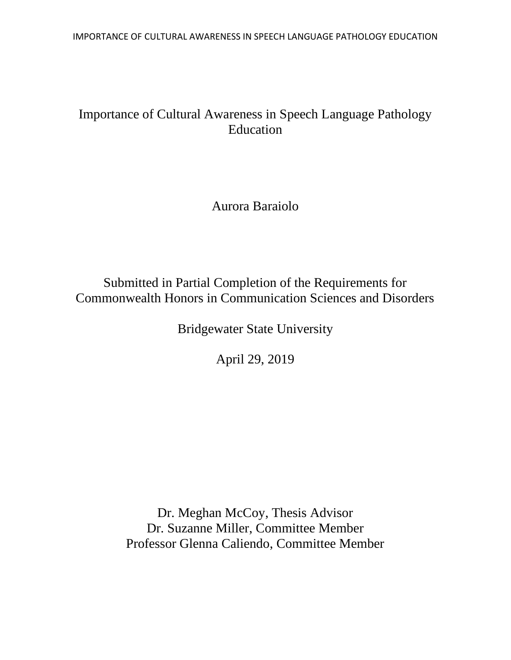IMPORTANCE OF CULTURAL AWARENESS IN SPEECH LANGUAGE PATHOLOGY EDUCATION

## Importance of Cultural Awareness in Speech Language Pathology Education

Aurora Baraiolo

Submitted in Partial Completion of the Requirements for Commonwealth Honors in Communication Sciences and Disorders

Bridgewater State University

April 29, 2019

Dr. Meghan McCoy, Thesis Advisor Dr. Suzanne Miller, Committee Member Professor Glenna Caliendo, Committee Member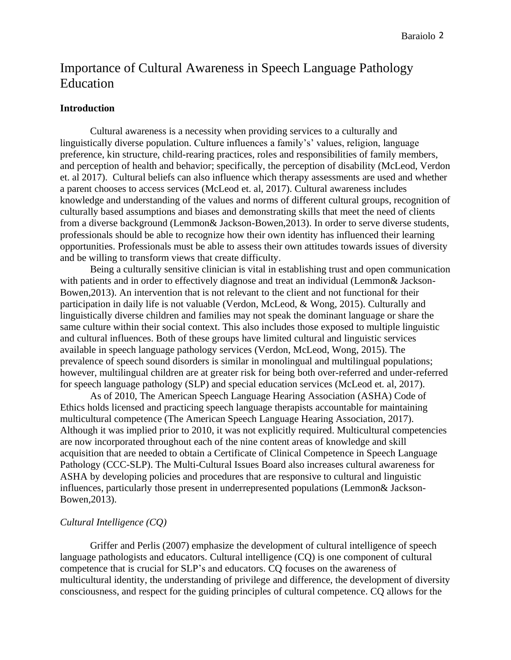## Importance of Cultural Awareness in Speech Language Pathology **Education**

#### **Introduction**

Cultural awareness is a necessity when providing services to a culturally and linguistically diverse population. Culture influences a family's' values, religion, language preference, kin structure, child-rearing practices, roles and responsibilities of family members, and perception of health and behavior; specifically, the perception of disability (McLeod, Verdon et. al 2017). Cultural beliefs can also influence which therapy assessments are used and whether a parent chooses to access services (McLeod et. al, 2017). Cultural awareness includes knowledge and understanding of the values and norms of different cultural groups, recognition of culturally based assumptions and biases and demonstrating skills that meet the need of clients from a diverse background (Lemmon& Jackson-Bowen,2013). In order to serve diverse students, professionals should be able to recognize how their own identity has influenced their learning opportunities. Professionals must be able to assess their own attitudes towards issues of diversity and be willing to transform views that create difficulty.

Being a culturally sensitive clinician is vital in establishing trust and open communication with patients and in order to effectively diagnose and treat an individual (Lemmon& Jackson-Bowen,2013). An intervention that is not relevant to the client and not functional for their participation in daily life is not valuable (Verdon, McLeod, & Wong, 2015). Culturally and linguistically diverse children and families may not speak the dominant language or share the same culture within their social context. This also includes those exposed to multiple linguistic and cultural influences. Both of these groups have limited cultural and linguistic services available in speech language pathology services (Verdon, McLeod, Wong, 2015). The prevalence of speech sound disorders is similar in monolingual and multilingual populations; however, multilingual children are at greater risk for being both over-referred and under-referred for speech language pathology (SLP) and special education services (McLeod et. al, 2017).

As of 2010, The American Speech Language Hearing Association (ASHA) Code of Ethics holds licensed and practicing speech language therapists accountable for maintaining multicultural competence (The American Speech Language Hearing Association, 2017). Although it was implied prior to 2010, it was not explicitly required. Multicultural competencies are now incorporated throughout each of the nine content areas of knowledge and skill acquisition that are needed to obtain a Certificate of Clinical Competence in Speech Language Pathology (CCC-SLP). The Multi-Cultural Issues Board also increases cultural awareness for ASHA by developing policies and procedures that are responsive to cultural and linguistic influences, particularly those present in underrepresented populations (Lemmon& Jackson-Bowen,2013).

### *Cultural Intelligence (CQ)*

Griffer and Perlis (2007) emphasize the development of cultural intelligence of speech language pathologists and educators. Cultural intelligence (CQ) is one component of cultural competence that is crucial for SLP's and educators. CQ focuses on the awareness of multicultural identity, the understanding of privilege and difference, the development of diversity consciousness, and respect for the guiding principles of cultural competence. CQ allows for the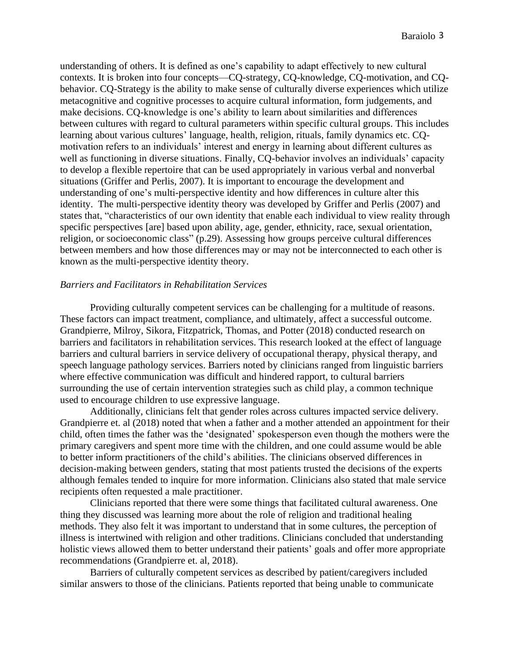understanding of others. It is defined as one's capability to adapt effectively to new cultural contexts. It is broken into four concepts—CQ-strategy, CQ-knowledge, CQ-motivation, and CQbehavior. CQ-Strategy is the ability to make sense of culturally diverse experiences which utilize metacognitive and cognitive processes to acquire cultural information, form judgements, and make decisions. CQ-knowledge is one's ability to learn about similarities and differences between cultures with regard to cultural parameters within specific cultural groups. This includes learning about various cultures' language, health, religion, rituals, family dynamics etc. CQmotivation refers to an individuals' interest and energy in learning about different cultures as well as functioning in diverse situations. Finally, CQ-behavior involves an individuals' capacity to develop a flexible repertoire that can be used appropriately in various verbal and nonverbal situations (Griffer and Perlis, 2007). It is important to encourage the development and understanding of one's multi-perspective identity and how differences in culture alter this identity. The multi-perspective identity theory was developed by Griffer and Perlis (2007) and states that, "characteristics of our own identity that enable each individual to view reality through specific perspectives [are] based upon ability, age, gender, ethnicity, race, sexual orientation, religion, or socioeconomic class" (p.29). Assessing how groups perceive cultural differences between members and how those differences may or may not be interconnected to each other is known as the multi-perspective identity theory.

## *Barriers and Facilitators in Rehabilitation Services*

Providing culturally competent services can be challenging for a multitude of reasons. These factors can impact treatment, compliance, and ultimately, affect a successful outcome. Grandpierre, Milroy, Sikora, Fitzpatrick, Thomas, and Potter (2018) conducted research on barriers and facilitators in rehabilitation services. This research looked at the effect of language barriers and cultural barriers in service delivery of occupational therapy, physical therapy, and speech language pathology services. Barriers noted by clinicians ranged from linguistic barriers where effective communication was difficult and hindered rapport, to cultural barriers surrounding the use of certain intervention strategies such as child play, a common technique used to encourage children to use expressive language.

Additionally, clinicians felt that gender roles across cultures impacted service delivery. Grandpierre et. al (2018) noted that when a father and a mother attended an appointment for their child, often times the father was the 'designated' spokesperson even though the mothers were the primary caregivers and spent more time with the children, and one could assume would be able to better inform practitioners of the child's abilities. The clinicians observed differences in decision-making between genders, stating that most patients trusted the decisions of the experts although females tended to inquire for more information. Clinicians also stated that male service recipients often requested a male practitioner.

Clinicians reported that there were some things that facilitated cultural awareness. One thing they discussed was learning more about the role of religion and traditional healing methods. They also felt it was important to understand that in some cultures, the perception of illness is intertwined with religion and other traditions. Clinicians concluded that understanding holistic views allowed them to better understand their patients' goals and offer more appropriate recommendations (Grandpierre et. al, 2018).

Barriers of culturally competent services as described by patient/caregivers included similar answers to those of the clinicians. Patients reported that being unable to communicate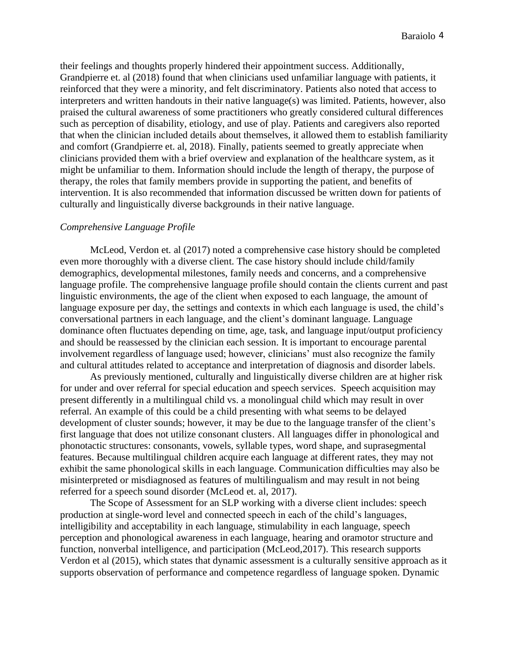their feelings and thoughts properly hindered their appointment success. Additionally, Grandpierre et. al (2018) found that when clinicians used unfamiliar language with patients, it reinforced that they were a minority, and felt discriminatory. Patients also noted that access to interpreters and written handouts in their native language(s) was limited. Patients, however, also praised the cultural awareness of some practitioners who greatly considered cultural differences such as perception of disability, etiology, and use of play. Patients and caregivers also reported that when the clinician included details about themselves, it allowed them to establish familiarity and comfort (Grandpierre et. al, 2018). Finally, patients seemed to greatly appreciate when clinicians provided them with a brief overview and explanation of the healthcare system, as it might be unfamiliar to them. Information should include the length of therapy, the purpose of therapy, the roles that family members provide in supporting the patient, and benefits of intervention. It is also recommended that information discussed be written down for patients of culturally and linguistically diverse backgrounds in their native language.

#### *Comprehensive Language Profile*

McLeod, Verdon et. al (2017) noted a comprehensive case history should be completed even more thoroughly with a diverse client. The case history should include child/family demographics, developmental milestones, family needs and concerns, and a comprehensive language profile. The comprehensive language profile should contain the clients current and past linguistic environments, the age of the client when exposed to each language, the amount of language exposure per day, the settings and contexts in which each language is used, the child's conversational partners in each language, and the client's dominant language. Language dominance often fluctuates depending on time, age, task, and language input/output proficiency and should be reassessed by the clinician each session. It is important to encourage parental involvement regardless of language used; however, clinicians' must also recognize the family and cultural attitudes related to acceptance and interpretation of diagnosis and disorder labels.

As previously mentioned, culturally and linguistically diverse children are at higher risk for under and over referral for special education and speech services. Speech acquisition may present differently in a multilingual child vs. a monolingual child which may result in over referral. An example of this could be a child presenting with what seems to be delayed development of cluster sounds; however, it may be due to the language transfer of the client's first language that does not utilize consonant clusters. All languages differ in phonological and phonotactic structures: consonants, vowels, syllable types, word shape, and suprasegmental features. Because multilingual children acquire each language at different rates, they may not exhibit the same phonological skills in each language. Communication difficulties may also be misinterpreted or misdiagnosed as features of multilingualism and may result in not being referred for a speech sound disorder (McLeod et. al, 2017).

The Scope of Assessment for an SLP working with a diverse client includes: speech production at single-word level and connected speech in each of the child's languages, intelligibility and acceptability in each language, stimulability in each language, speech perception and phonological awareness in each language, hearing and oramotor structure and function, nonverbal intelligence, and participation (McLeod,2017). This research supports Verdon et al (2015), which states that dynamic assessment is a culturally sensitive approach as it supports observation of performance and competence regardless of language spoken. Dynamic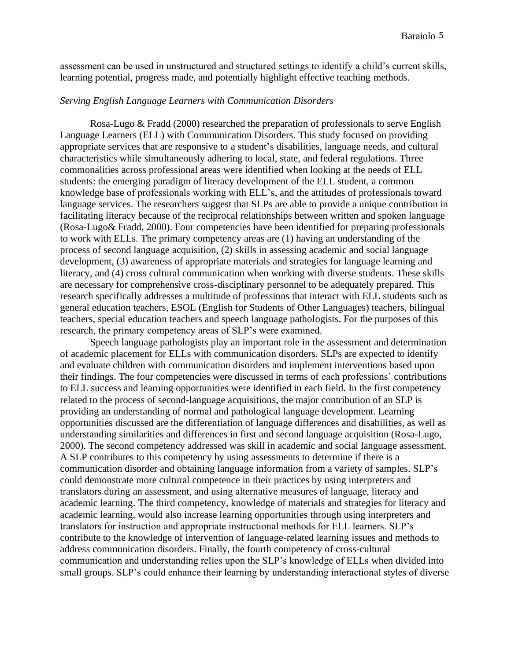assessment can be used in unstructured and structured settings to identify a child's current skills, learning potential, progress made, and potentially highlight effective teaching methods.

### *Serving English Language Learners with Communication Disorders*

Rosa-Lugo & Fradd (2000) researched the preparation of professionals to serve English Language Learners (ELL) with Communication Disorders. This study focused on providing appropriate services that are responsive to a student's disabilities, language needs, and cultural characteristics while simultaneously adhering to local, state, and federal regulations. Three commonalities across professional areas were identified when looking at the needs of ELL students: the emerging paradigm of literacy development of the ELL student, a common knowledge base of professionals working with ELL's, and the attitudes of professionals toward language services. The researchers suggest that SLPs are able to provide a unique contribution in facilitating literacy because of the reciprocal relationships between written and spoken language (Rosa-Lugo& Fradd, 2000). Four competencies have been identified for preparing professionals to work with ELLs. The primary competency areas are (1) having an understanding of the process of second language acquisition, (2) skills in assessing academic and social language development, (3) awareness of appropriate materials and strategies for language learning and literacy, and (4) cross cultural communication when working with diverse students. These skills are necessary for comprehensive cross-disciplinary personnel to be adequately prepared. This research specifically addresses a multitude of professions that interact with ELL students such as general education teachers, ESOL (English for Students of Other Languages) teachers, bilingual teachers, special education teachers and speech language pathologists. For the purposes of this research, the primary competency areas of SLP's were examined.

Speech language pathologists play an important role in the assessment and determination of academic placement for ELLs with communication disorders. SLPs are expected to identify and evaluate children with communication disorders and implement interventions based upon their findings. The four competencies were discussed in terms of each professions' contributions to ELL success and learning opportunities were identified in each field. In the first competency related to the process of second-language acquisitions, the major contribution of an SLP is providing an understanding of normal and pathological language development. Learning opportunities discussed are the differentiation of language differences and disabilities, as well as understanding similarities and differences in first and second language acquisition (Rosa-Lugo, 2000). The second competency addressed was skill in academic and social language assessment. A SLP contributes to this competency by using assessments to determine if there is a communication disorder and obtaining language information from a variety of samples. SLP's could demonstrate more cultural competence in their practices by using interpreters and translators during an assessment, and using alternative measures of language, literacy and academic learning. The third competency, knowledge of materials and strategies for literacy and academic learning, would also increase learning opportunities through using interpreters and translators for instruction and appropriate instructional methods for ELL learners. SLP's contribute to the knowledge of intervention of language-related learning issues and methods to address communication disorders. Finally, the fourth competency of cross-cultural communication and understanding relies upon the SLP's knowledge of ELLs when divided into small groups. SLP's could enhance their learning by understanding interactional styles of diverse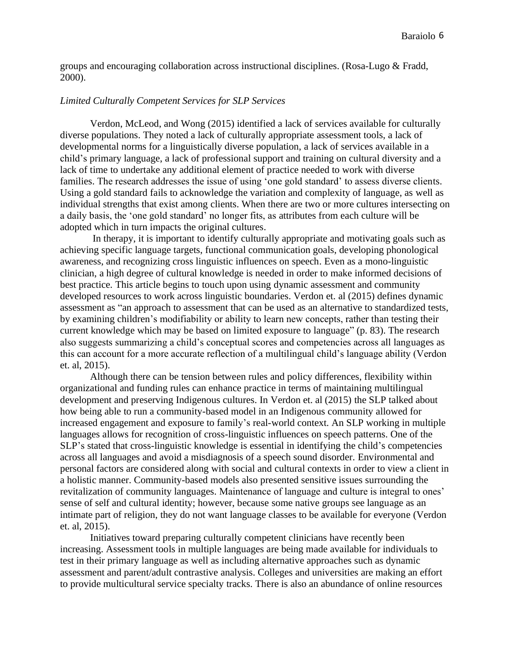groups and encouraging collaboration across instructional disciplines. (Rosa-Lugo & Fradd, 2000).

## *Limited Culturally Competent Services for SLP Services*

Verdon, McLeod, and Wong (2015) identified a lack of services available for culturally diverse populations. They noted a lack of culturally appropriate assessment tools, a lack of developmental norms for a linguistically diverse population, a lack of services available in a child's primary language, a lack of professional support and training on cultural diversity and a lack of time to undertake any additional element of practice needed to work with diverse families. The research addresses the issue of using 'one gold standard' to assess diverse clients. Using a gold standard fails to acknowledge the variation and complexity of language, as well as individual strengths that exist among clients. When there are two or more cultures intersecting on a daily basis, the 'one gold standard' no longer fits, as attributes from each culture will be adopted which in turn impacts the original cultures.

In therapy, it is important to identify culturally appropriate and motivating goals such as achieving specific language targets, functional communication goals, developing phonological awareness, and recognizing cross linguistic influences on speech. Even as a mono-linguistic clinician, a high degree of cultural knowledge is needed in order to make informed decisions of best practice. This article begins to touch upon using dynamic assessment and community developed resources to work across linguistic boundaries. Verdon et. al (2015) defines dynamic assessment as "an approach to assessment that can be used as an alternative to standardized tests, by examining children's modifiability or ability to learn new concepts, rather than testing their current knowledge which may be based on limited exposure to language" (p. 83). The research also suggests summarizing a child's conceptual scores and competencies across all languages as this can account for a more accurate reflection of a multilingual child's language ability (Verdon et. al, 2015).

Although there can be tension between rules and policy differences, flexibility within organizational and funding rules can enhance practice in terms of maintaining multilingual development and preserving Indigenous cultures. In Verdon et. al (2015) the SLP talked about how being able to run a community-based model in an Indigenous community allowed for increased engagement and exposure to family's real-world context. An SLP working in multiple languages allows for recognition of cross-linguistic influences on speech patterns. One of the SLP's stated that cross-linguistic knowledge is essential in identifying the child's competencies across all languages and avoid a misdiagnosis of a speech sound disorder. Environmental and personal factors are considered along with social and cultural contexts in order to view a client in a holistic manner. Community-based models also presented sensitive issues surrounding the revitalization of community languages. Maintenance of language and culture is integral to ones' sense of self and cultural identity; however, because some native groups see language as an intimate part of religion, they do not want language classes to be available for everyone (Verdon et. al, 2015).

Initiatives toward preparing culturally competent clinicians have recently been increasing. Assessment tools in multiple languages are being made available for individuals to test in their primary language as well as including alternative approaches such as dynamic assessment and parent/adult contrastive analysis. Colleges and universities are making an effort to provide multicultural service specialty tracks. There is also an abundance of online resources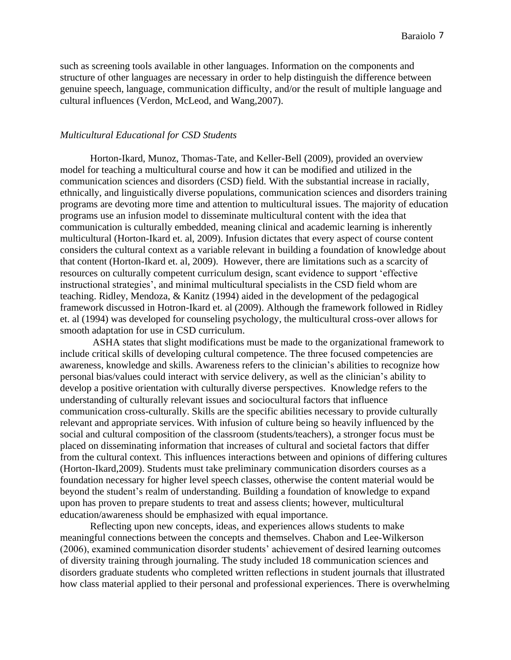such as screening tools available in other languages. Information on the components and structure of other languages are necessary in order to help distinguish the difference between genuine speech, language, communication difficulty, and/or the result of multiple language and cultural influences (Verdon, McLeod, and Wang,2007).

### *Multicultural Educational for CSD Students*

Horton-Ikard, Munoz, Thomas-Tate, and Keller-Bell (2009), provided an overview model for teaching a multicultural course and how it can be modified and utilized in the communication sciences and disorders (CSD) field. With the substantial increase in racially, ethnically, and linguistically diverse populations, communication sciences and disorders training programs are devoting more time and attention to multicultural issues. The majority of education programs use an infusion model to disseminate multicultural content with the idea that communication is culturally embedded, meaning clinical and academic learning is inherently multicultural (Horton-Ikard et. al, 2009). Infusion dictates that every aspect of course content considers the cultural context as a variable relevant in building a foundation of knowledge about that content (Horton-Ikard et. al, 2009). However, there are limitations such as a scarcity of resources on culturally competent curriculum design, scant evidence to support 'effective instructional strategies', and minimal multicultural specialists in the CSD field whom are teaching. Ridley, Mendoza, & Kanitz (1994) aided in the development of the pedagogical framework discussed in Hotron-Ikard et. al (2009). Although the framework followed in Ridley et. al (1994) was developed for counseling psychology, the multicultural cross-over allows for smooth adaptation for use in CSD curriculum.

ASHA states that slight modifications must be made to the organizational framework to include critical skills of developing cultural competence. The three focused competencies are awareness, knowledge and skills. Awareness refers to the clinician's abilities to recognize how personal bias/values could interact with service delivery, as well as the clinician's ability to develop a positive orientation with culturally diverse perspectives. Knowledge refers to the understanding of culturally relevant issues and sociocultural factors that influence communication cross-culturally. Skills are the specific abilities necessary to provide culturally relevant and appropriate services. With infusion of culture being so heavily influenced by the social and cultural composition of the classroom (students/teachers), a stronger focus must be placed on disseminating information that increases of cultural and societal factors that differ from the cultural context. This influences interactions between and opinions of differing cultures (Horton-Ikard,2009). Students must take preliminary communication disorders courses as a foundation necessary for higher level speech classes, otherwise the content material would be beyond the student's realm of understanding. Building a foundation of knowledge to expand upon has proven to prepare students to treat and assess clients; however, multicultural education/awareness should be emphasized with equal importance.

Reflecting upon new concepts, ideas, and experiences allows students to make meaningful connections between the concepts and themselves. Chabon and Lee-Wilkerson (2006), examined communication disorder students' achievement of desired learning outcomes of diversity training through journaling. The study included 18 communication sciences and disorders graduate students who completed written reflections in student journals that illustrated how class material applied to their personal and professional experiences. There is overwhelming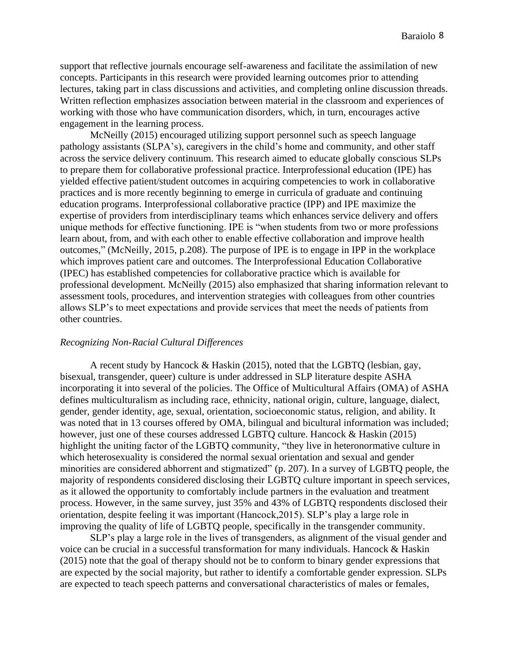support that reflective journals encourage self-awareness and facilitate the assimilation of new concepts. Participants in this research were provided learning outcomes prior to attending lectures, taking part in class discussions and activities, and completing online discussion threads. Written reflection emphasizes association between material in the classroom and experiences of working with those who have communication disorders, which, in turn, encourages active engagement in the learning process.

McNeilly (2015) encouraged utilizing support personnel such as speech language pathology assistants (SLPA's), caregivers in the child's home and community, and other staff across the service delivery continuum. This research aimed to educate globally conscious SLPs to prepare them for collaborative professional practice. Interprofessional education (IPE) has yielded effective patient/student outcomes in acquiring competencies to work in collaborative practices and is more recently beginning to emerge in curricula of graduate and continuing education programs. Interprofessional collaborative practice (IPP) and IPE maximize the expertise of providers from interdisciplinary teams which enhances service delivery and offers unique methods for effective functioning. IPE is "when students from two or more professions learn about, from, and with each other to enable effective collaboration and improve health outcomes," (McNeilly, 2015, p.208). The purpose of IPE is to engage in IPP in the workplace which improves patient care and outcomes. The Interprofessional Education Collaborative (IPEC) has established competencies for collaborative practice which is available for professional development. McNeilly (2015) also emphasized that sharing information relevant to assessment tools, procedures, and intervention strategies with colleagues from other countries allows SLP's to meet expectations and provide services that meet the needs of patients from other countries.

#### *Recognizing Non-Racial Cultural Differences*

A recent study by Hancock & Haskin (2015), noted that the LGBTQ (lesbian, gay, bisexual, transgender, queer) culture is under addressed in SLP literature despite ASHA incorporating it into several of the policies. The Office of Multicultural Affairs (OMA) of ASHA defines multiculturalism as including race, ethnicity, national origin, culture, language, dialect, gender, gender identity, age, sexual, orientation, socioeconomic status, religion, and ability. It was noted that in 13 courses offered by OMA, bilingual and bicultural information was included; however, just one of these courses addressed LGBTQ culture. Hancock & Haskin (2015) highlight the uniting factor of the LGBTQ community, "they live in heteronormative culture in which heterosexuality is considered the normal sexual orientation and sexual and gender minorities are considered abhorrent and stigmatized" (p. 207). In a survey of LGBTQ people, the majority of respondents considered disclosing their LGBTQ culture important in speech services, as it allowed the opportunity to comfortably include partners in the evaluation and treatment process. However, in the same survey, just 35% and 43% of LGBTQ respondents disclosed their orientation, despite feeling it was important (Hancock,2015). SLP's play a large role in improving the quality of life of LGBTQ people, specifically in the transgender community.

SLP's play a large role in the lives of transgenders, as alignment of the visual gender and voice can be crucial in a successful transformation for many individuals. Hancock & Haskin (2015) note that the goal of therapy should not be to conform to binary gender expressions that are expected by the social majority, but rather to identify a comfortable gender expression. SLPs are expected to teach speech patterns and conversational characteristics of males or females,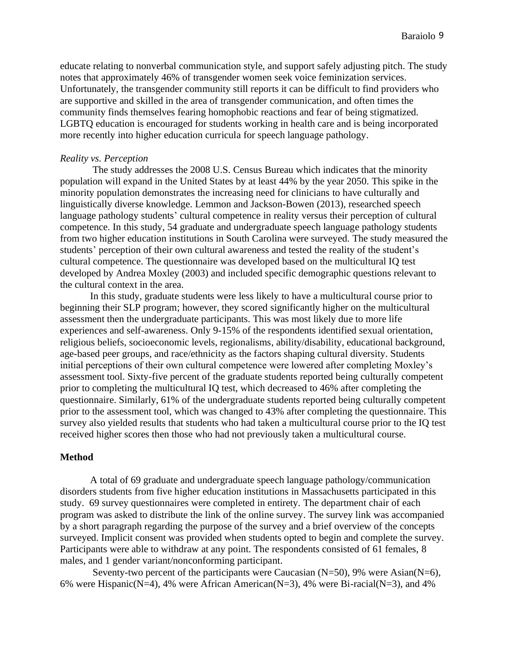educate relating to nonverbal communication style, and support safely adjusting pitch. The study notes that approximately 46% of transgender women seek voice feminization services. Unfortunately, the transgender community still reports it can be difficult to find providers who are supportive and skilled in the area of transgender communication, and often times the community finds themselves fearing homophobic reactions and fear of being stigmatized. LGBTQ education is encouraged for students working in health care and is being incorporated more recently into higher education curricula for speech language pathology.

#### *Reality vs. Perception*

The study addresses the 2008 U.S. Census Bureau which indicates that the minority population will expand in the United States by at least 44% by the year 2050. This spike in the minority population demonstrates the increasing need for clinicians to have culturally and linguistically diverse knowledge. Lemmon and Jackson-Bowen (2013), researched speech language pathology students' cultural competence in reality versus their perception of cultural competence. In this study, 54 graduate and undergraduate speech language pathology students from two higher education institutions in South Carolina were surveyed. The study measured the students' perception of their own cultural awareness and tested the reality of the student's cultural competence. The questionnaire was developed based on the multicultural IQ test developed by Andrea Moxley (2003) and included specific demographic questions relevant to the cultural context in the area.

In this study, graduate students were less likely to have a multicultural course prior to beginning their SLP program; however, they scored significantly higher on the multicultural assessment then the undergraduate participants. This was most likely due to more life experiences and self-awareness. Only 9-15% of the respondents identified sexual orientation, religious beliefs, socioeconomic levels, regionalisms, ability/disability, educational background, age-based peer groups, and race/ethnicity as the factors shaping cultural diversity. Students initial perceptions of their own cultural competence were lowered after completing Moxley's assessment tool. Sixty-five percent of the graduate students reported being culturally competent prior to completing the multicultural IQ test, which decreased to 46% after completing the questionnaire. Similarly, 61% of the undergraduate students reported being culturally competent prior to the assessment tool, which was changed to 43% after completing the questionnaire. This survey also yielded results that students who had taken a multicultural course prior to the IQ test received higher scores then those who had not previously taken a multicultural course.

#### **Method**

A total of 69 graduate and undergraduate speech language pathology/communication disorders students from five higher education institutions in Massachusetts participated in this study. 69 survey questionnaires were completed in entirety. The department chair of each program was asked to distribute the link of the online survey. The survey link was accompanied by a short paragraph regarding the purpose of the survey and a brief overview of the concepts surveyed. Implicit consent was provided when students opted to begin and complete the survey. Participants were able to withdraw at any point. The respondents consisted of 61 females, 8 males, and 1 gender variant/nonconforming participant.

Seventy-two percent of the participants were Caucasian  $(N=50)$ , 9% were Asian $(N=6)$ , 6% were Hispanic(N=4), 4% were African American(N=3), 4% were Bi-racial(N=3), and 4%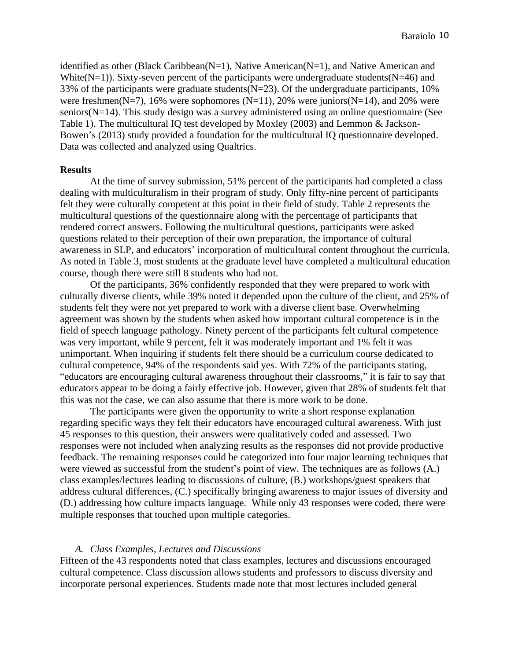identified as other (Black Caribbean( $N=1$ ), Native American( $N=1$ ), and Native American and White( $N=1$ )). Sixty-seven percent of the participants were undergraduate students( $N=46$ ) and 33% of the participants were graduate students  $(N=23)$ . Of the undergraduate participants, 10% were freshmen( $N=7$ ), 16% were sophomores ( $N=11$ ), 20% were juniors( $N=14$ ), and 20% were seniors(N=14). This study design was a survey administered using an online questionnaire (See Table 1). The multicultural IQ test developed by Moxley (2003) and Lemmon & Jackson-Bowen's (2013) study provided a foundation for the multicultural IQ questionnaire developed. Data was collected and analyzed using Qualtrics.

#### **Results**

At the time of survey submission, 51% percent of the participants had completed a class dealing with multiculturalism in their program of study. Only fifty-nine percent of participants felt they were culturally competent at this point in their field of study. Table 2 represents the multicultural questions of the questionnaire along with the percentage of participants that rendered correct answers. Following the multicultural questions, participants were asked questions related to their perception of their own preparation, the importance of cultural awareness in SLP, and educators' incorporation of multicultural content throughout the curricula. As noted in Table 3, most students at the graduate level have completed a multicultural education course, though there were still 8 students who had not.

Of the participants, 36% confidently responded that they were prepared to work with culturally diverse clients, while 39% noted it depended upon the culture of the client, and 25% of students felt they were not yet prepared to work with a diverse client base. Overwhelming agreement was shown by the students when asked how important cultural competence is in the field of speech language pathology. Ninety percent of the participants felt cultural competence was very important, while 9 percent, felt it was moderately important and 1% felt it was unimportant. When inquiring if students felt there should be a curriculum course dedicated to cultural competence, 94% of the respondents said yes. With 72% of the participants stating, "educators are encouraging cultural awareness throughout their classrooms," it is fair to say that educators appear to be doing a fairly effective job. However, given that 28% of students felt that this was not the case, we can also assume that there is more work to be done.

The participants were given the opportunity to write a short response explanation regarding specific ways they felt their educators have encouraged cultural awareness. With just 45 responses to this question, their answers were qualitatively coded and assessed. Two responses were not included when analyzing results as the responses did not provide productive feedback. The remaining responses could be categorized into four major learning techniques that were viewed as successful from the student's point of view. The techniques are as follows (A.) class examples/lectures leading to discussions of culture, (B.) workshops/guest speakers that address cultural differences, (C.) specifically bringing awareness to major issues of diversity and (D.) addressing how culture impacts language. While only 43 responses were coded, there were multiple responses that touched upon multiple categories.

#### *A. Class Examples, Lectures and Discussions*

Fifteen of the 43 respondents noted that class examples, lectures and discussions encouraged cultural competence. Class discussion allows students and professors to discuss diversity and incorporate personal experiences. Students made note that most lectures included general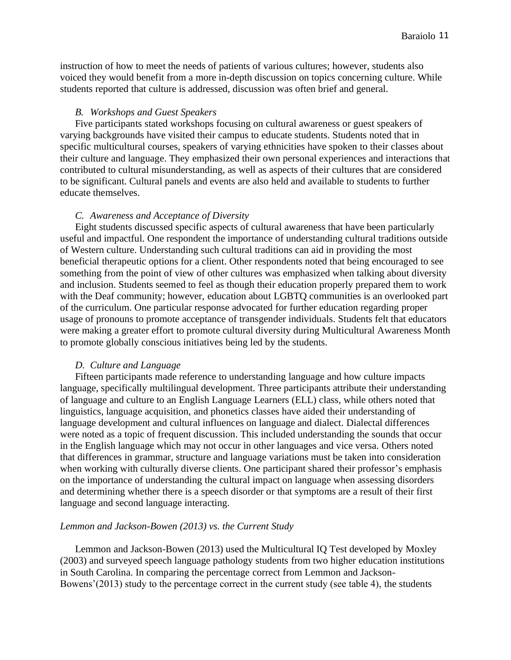instruction of how to meet the needs of patients of various cultures; however, students also voiced they would benefit from a more in-depth discussion on topics concerning culture. While students reported that culture is addressed, discussion was often brief and general.

#### *B. Workshops and Guest Speakers*

Five participants stated workshops focusing on cultural awareness or guest speakers of varying backgrounds have visited their campus to educate students. Students noted that in specific multicultural courses, speakers of varying ethnicities have spoken to their classes about their culture and language. They emphasized their own personal experiences and interactions that contributed to cultural misunderstanding, as well as aspects of their cultures that are considered to be significant. Cultural panels and events are also held and available to students to further educate themselves.

#### *C. Awareness and Acceptance of Diversity*

Eight students discussed specific aspects of cultural awareness that have been particularly useful and impactful. One respondent the importance of understanding cultural traditions outside of Western culture. Understanding such cultural traditions can aid in providing the most beneficial therapeutic options for a client. Other respondents noted that being encouraged to see something from the point of view of other cultures was emphasized when talking about diversity and inclusion. Students seemed to feel as though their education properly prepared them to work with the Deaf community; however, education about LGBTQ communities is an overlooked part of the curriculum. One particular response advocated for further education regarding proper usage of pronouns to promote acceptance of transgender individuals. Students felt that educators were making a greater effort to promote cultural diversity during Multicultural Awareness Month to promote globally conscious initiatives being led by the students.

#### *D. Culture and Language*

Fifteen participants made reference to understanding language and how culture impacts language, specifically multilingual development. Three participants attribute their understanding of language and culture to an English Language Learners (ELL) class, while others noted that linguistics, language acquisition, and phonetics classes have aided their understanding of language development and cultural influences on language and dialect. Dialectal differences were noted as a topic of frequent discussion. This included understanding the sounds that occur in the English language which may not occur in other languages and vice versa. Others noted that differences in grammar, structure and language variations must be taken into consideration when working with culturally diverse clients. One participant shared their professor's emphasis on the importance of understanding the cultural impact on language when assessing disorders and determining whether there is a speech disorder or that symptoms are a result of their first language and second language interacting.

#### *Lemmon and Jackson-Bowen (2013) vs. the Current Study*

Lemmon and Jackson-Bowen (2013) used the Multicultural IQ Test developed by Moxley (2003) and surveyed speech language pathology students from two higher education institutions in South Carolina. In comparing the percentage correct from Lemmon and Jackson-Bowens'(2013) study to the percentage correct in the current study (see table 4), the students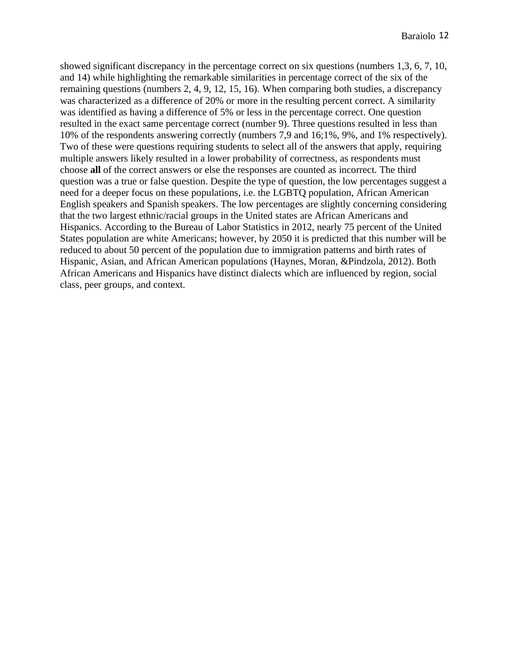showed significant discrepancy in the percentage correct on six questions (numbers 1,3, 6, 7, 10, and 14) while highlighting the remarkable similarities in percentage correct of the six of the remaining questions (numbers 2, 4, 9, 12, 15, 16). When comparing both studies, a discrepancy was characterized as a difference of 20% or more in the resulting percent correct. A similarity was identified as having a difference of 5% or less in the percentage correct. One question resulted in the exact same percentage correct (number 9). Three questions resulted in less than 10% of the respondents answering correctly (numbers 7,9 and 16;1%, 9%, and 1% respectively). Two of these were questions requiring students to select all of the answers that apply, requiring multiple answers likely resulted in a lower probability of correctness, as respondents must choose **all** of the correct answers or else the responses are counted as incorrect. The third question was a true or false question. Despite the type of question, the low percentages suggest a need for a deeper focus on these populations, i.e. the LGBTQ population, African American English speakers and Spanish speakers. The low percentages are slightly concerning considering that the two largest ethnic/racial groups in the United states are African Americans and Hispanics. According to the Bureau of Labor Statistics in 2012, nearly 75 percent of the United States population are white Americans; however, by 2050 it is predicted that this number will be reduced to about 50 percent of the population due to immigration patterns and birth rates of Hispanic, Asian, and African American populations (Haynes, Moran, &Pindzola, 2012). Both African Americans and Hispanics have distinct dialects which are influenced by region, social class, peer groups, and context.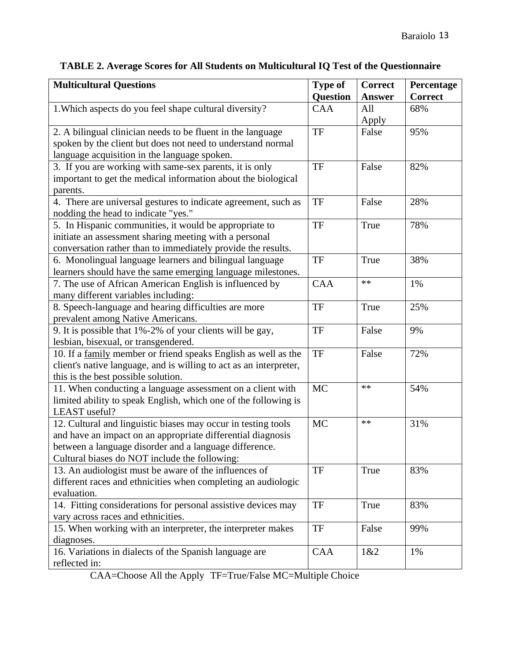| <b>Multicultural Questions</b>                                     | <b>Type of</b>  | <b>Correct</b> | Percentage     |
|--------------------------------------------------------------------|-----------------|----------------|----------------|
|                                                                    | <b>Question</b> | <b>Answer</b>  | <b>Correct</b> |
| 1. Which aspects do you feel shape cultural diversity?             | <b>CAA</b>      | All            | 68%            |
|                                                                    |                 | Apply          |                |
| 2. A bilingual clinician needs to be fluent in the language        | TF              | False          | 95%            |
| spoken by the client but does not need to understand normal        |                 |                |                |
| language acquisition in the language spoken.                       |                 |                |                |
| 3. If you are working with same-sex parents, it is only            | TF              | False          | 82%            |
| important to get the medical information about the biological      |                 |                |                |
| parents.                                                           |                 |                |                |
| 4. There are universal gestures to indicate agreement, such as     | TF              | False          | 28%            |
| nodding the head to indicate "yes."                                |                 |                |                |
| 5. In Hispanic communities, it would be appropriate to             | <b>TF</b>       | True           | 78%            |
| initiate an assessment sharing meeting with a personal             |                 |                |                |
| conversation rather than to immediately provide the results.       |                 |                |                |
| 6. Monolingual language learners and bilingual language            | TF              | True           | 38%            |
| learners should have the same emerging language milestones.        |                 |                |                |
| 7. The use of African American English is influenced by            | <b>CAA</b>      | $**$           | 1%             |
| many different variables including:                                |                 |                |                |
| 8. Speech-language and hearing difficulties are more               | <b>TF</b>       | True           | 25%            |
| prevalent among Native Americans.                                  |                 |                |                |
| 9. It is possible that 1%-2% of your clients will be gay,          | <b>TF</b>       | False          | 9%             |
| lesbian, bisexual, or transgendered.                               |                 |                |                |
| 10. If a family member or friend speaks English as well as the     | TF              | False          | 72%            |
| client's native language, and is willing to act as an interpreter, |                 |                |                |
| this is the best possible solution.                                |                 |                |                |
| 11. When conducting a language assessment on a client with         | <b>MC</b>       | $**$           | 54%            |
| limited ability to speak English, which one of the following is    |                 |                |                |
| LEAST useful?                                                      |                 |                |                |
| 12. Cultural and linguistic biases may occur in testing tools      | <b>MC</b>       | $**$           | 31%            |
| and have an impact on an appropriate differential diagnosis        |                 |                |                |
| between a language disorder and a language difference.             |                 |                |                |
| Cultural biases do NOT include the following:                      |                 |                |                |
| 13. An audiologist must be aware of the influences of              | TF              | True           | 83%            |
| different races and ethnicities when completing an audiologic      |                 |                |                |
| evaluation.                                                        |                 |                |                |
| 14. Fitting considerations for personal assistive devices may      | TF              | True           | 83%            |
| vary across races and ethnicities.                                 |                 |                |                |
| 15. When working with an interpreter, the interpreter makes        | <b>TF</b>       | False          | 99%            |
| diagnoses.                                                         |                 |                |                |
| 16. Variations in dialects of the Spanish language are             | <b>CAA</b>      | 1&2            | 1%             |
| reflected in:                                                      |                 |                |                |

## **TABLE 2. Average Scores for All Students on Multicultural IQ Test of the Questionnaire**

CAA=Choose All the Apply TF=True/False MC=Multiple Choice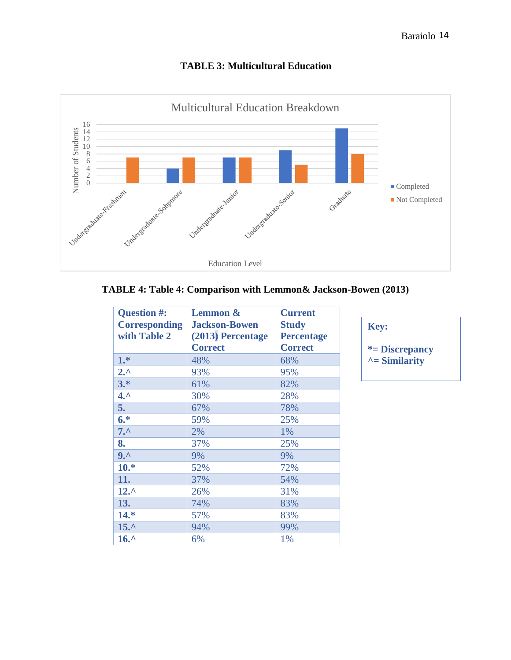



## **TABLE 4: Table 4: Comparison with Lemmon& Jackson-Bowen (2013)**

| Question #:<br><b>Corresponding</b><br>with Table 2 | <b>Lemmon &amp;</b><br><b>Jackson-Bowen</b><br>(2013) Percentage<br><b>Correct</b> | <b>Current</b><br><b>Study</b><br><b>Percentage</b><br><b>Correct</b> |
|-----------------------------------------------------|------------------------------------------------------------------------------------|-----------------------------------------------------------------------|
| $1.*$                                               | 48%                                                                                | 68%                                                                   |
| $2.^{\prime}$                                       | 93%                                                                                | 95%                                                                   |
| $3.*$                                               | 61%                                                                                | 82%                                                                   |
| $4.^{\circ}$                                        | 30%                                                                                | 28%                                                                   |
| 5.                                                  | 67%                                                                                | 78%                                                                   |
| $6.*$                                               | 59%                                                                                | 25%                                                                   |
| $7.^{\circ}$                                        | 2%                                                                                 | 1%                                                                    |
| 8.                                                  | 37%                                                                                | 25%                                                                   |
| $9.^{\prime}$                                       | 9%                                                                                 | 9%                                                                    |
| $10.*$                                              | 52%                                                                                | 72%                                                                   |
| 11.                                                 | 37%                                                                                | 54%                                                                   |
| $12.^{\circ}$                                       | 26%                                                                                | 31%                                                                   |
| 13.                                                 | 74%                                                                                | 83%                                                                   |
| $14.*$                                              | 57%                                                                                | 83%                                                                   |
| $15.^{\circ}$                                       | 94%                                                                                | 99%                                                                   |
| $16.^{\circ}$                                       | 6%                                                                                 | 1%                                                                    |

**Key: \*= Discrepancy ^= Similarity**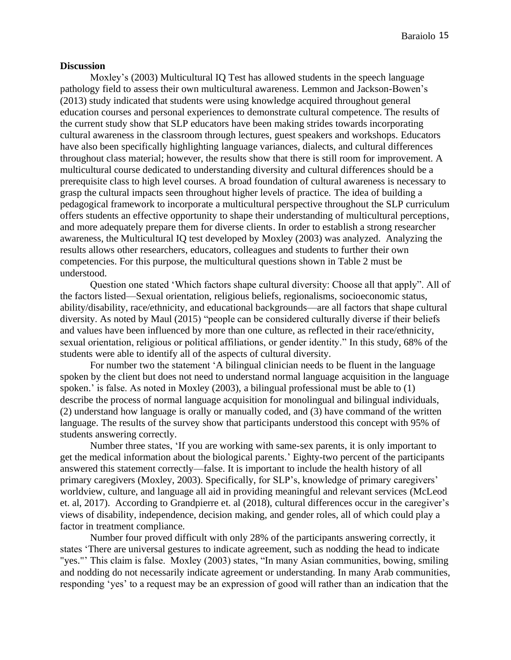#### **Discussion**

Moxley's (2003) Multicultural IQ Test has allowed students in the speech language pathology field to assess their own multicultural awareness. Lemmon and Jackson-Bowen's (2013) study indicated that students were using knowledge acquired throughout general education courses and personal experiences to demonstrate cultural competence. The results of the current study show that SLP educators have been making strides towards incorporating cultural awareness in the classroom through lectures, guest speakers and workshops. Educators have also been specifically highlighting language variances, dialects, and cultural differences throughout class material; however, the results show that there is still room for improvement. A multicultural course dedicated to understanding diversity and cultural differences should be a prerequisite class to high level courses. A broad foundation of cultural awareness is necessary to grasp the cultural impacts seen throughout higher levels of practice. The idea of building a pedagogical framework to incorporate a multicultural perspective throughout the SLP curriculum offers students an effective opportunity to shape their understanding of multicultural perceptions, and more adequately prepare them for diverse clients. In order to establish a strong researcher awareness, the Multicultural IQ test developed by Moxley (2003) was analyzed. Analyzing the results allows other researchers, educators, colleagues and students to further their own competencies. For this purpose, the multicultural questions shown in Table 2 must be understood.

Question one stated 'Which factors shape cultural diversity: Choose all that apply". All of the factors listed—Sexual orientation, religious beliefs, regionalisms, socioeconomic status, ability/disability, race/ethnicity, and educational backgrounds—are all factors that shape cultural diversity. As noted by Maul (2015) "people can be considered culturally diverse if their beliefs and values have been influenced by more than one culture, as reflected in their race/ethnicity, sexual orientation, religious or political affiliations, or gender identity." In this study, 68% of the students were able to identify all of the aspects of cultural diversity.

For number two the statement 'A bilingual clinician needs to be fluent in the language spoken by the client but does not need to understand normal language acquisition in the language spoken.' is false. As noted in Moxley (2003), a bilingual professional must be able to (1) describe the process of normal language acquisition for monolingual and bilingual individuals, (2) understand how language is orally or manually coded, and (3) have command of the written language. The results of the survey show that participants understood this concept with 95% of students answering correctly.

Number three states, 'If you are working with same-sex parents, it is only important to get the medical information about the biological parents.' Eighty-two percent of the participants answered this statement correctly—false. It is important to include the health history of all primary caregivers (Moxley, 2003). Specifically, for SLP's, knowledge of primary caregivers' worldview, culture, and language all aid in providing meaningful and relevant services (McLeod et. al, 2017). According to Grandpierre et. al (2018), cultural differences occur in the caregiver's views of disability, independence, decision making, and gender roles, all of which could play a factor in treatment compliance.

Number four proved difficult with only 28% of the participants answering correctly, it states 'There are universal gestures to indicate agreement, such as nodding the head to indicate "yes."' This claim is false. Moxley (2003) states, "In many Asian communities, bowing, smiling and nodding do not necessarily indicate agreement or understanding. In many Arab communities, responding 'yes' to a request may be an expression of good will rather than an indication that the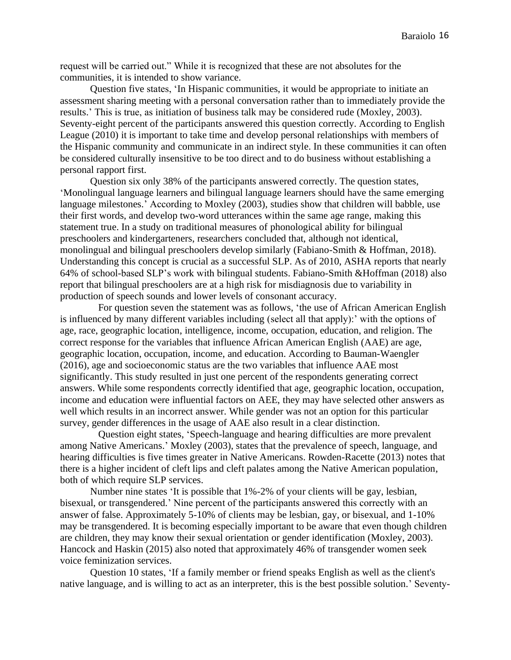request will be carried out." While it is recognized that these are not absolutes for the communities, it is intended to show variance.

Question five states, 'In Hispanic communities, it would be appropriate to initiate an assessment sharing meeting with a personal conversation rather than to immediately provide the results.' This is true, as initiation of business talk may be considered rude (Moxley, 2003). Seventy-eight percent of the participants answered this question correctly. According to English League (2010) it is important to take time and develop personal relationships with members of the Hispanic community and communicate in an indirect style. In these communities it can often be considered culturally insensitive to be too direct and to do business without establishing a personal rapport first.

Question six only 38% of the participants answered correctly. The question states, 'Monolingual language learners and bilingual language learners should have the same emerging language milestones.' According to Moxley (2003), studies show that children will babble, use their first words, and develop two-word utterances within the same age range, making this statement true. In a study on traditional measures of phonological ability for bilingual preschoolers and kindergarteners, researchers concluded that, although not identical, monolingual and bilingual preschoolers develop similarly (Fabiano-Smith & Hoffman, 2018). Understanding this concept is crucial as a successful SLP. As of 2010, ASHA reports that nearly 64% of school-based SLP's work with bilingual students. Fabiano-Smith &Hoffman (2018) also report that bilingual preschoolers are at a high risk for misdiagnosis due to variability in production of speech sounds and lower levels of consonant accuracy.

For question seven the statement was as follows, 'the use of African American English is influenced by many different variables including (select all that apply):' with the options of age, race, geographic location, intelligence, income, occupation, education, and religion. The correct response for the variables that influence African American English (AAE) are age, geographic location, occupation, income, and education. According to Bauman-Waengler (2016), age and socioeconomic status are the two variables that influence AAE most significantly. This study resulted in just one percent of the respondents generating correct answers. While some respondents correctly identified that age, geographic location, occupation, income and education were influential factors on AEE, they may have selected other answers as well which results in an incorrect answer. While gender was not an option for this particular survey, gender differences in the usage of AAE also result in a clear distinction.

Question eight states, 'Speech-language and hearing difficulties are more prevalent among Native Americans.' Moxley (2003), states that the prevalence of speech, language, and hearing difficulties is five times greater in Native Americans. Rowden-Racette (2013) notes that there is a higher incident of cleft lips and cleft palates among the Native American population, both of which require SLP services.

Number nine states 'It is possible that 1%-2% of your clients will be gay, lesbian, bisexual, or transgendered.' Nine percent of the participants answered this correctly with an answer of false. Approximately 5-10% of clients may be lesbian, gay, or bisexual, and 1-10% may be transgendered. It is becoming especially important to be aware that even though children are children, they may know their sexual orientation or gender identification (Moxley, 2003). Hancock and Haskin (2015) also noted that approximately 46% of transgender women seek voice feminization services.

Question 10 states, 'If a [family](http://go.galegroup.com.libserv-prd.bridgew.edu/ps/retrieve.do?tabID=T002&resultListType=RESULT_LIST&searchResultsType=SingleTab&searchType=BasicSearchForm¤tPosition=8&docId=GALE%7CA334486720&docType=Report&sort=Relevance&contentSegment=&prodId=AONE&contentSet=GALE%7CA334486720&searchId=R1&userGroupName=mlin_s_bridcoll&inPS=true) member or friend speaks English as well as the client's native language, and is willing to act as an interpreter, this is the best possible solution.' Seventy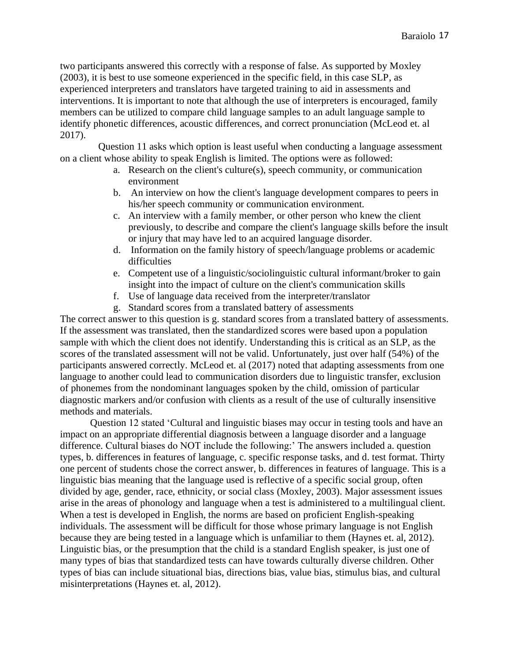two participants answered this correctly with a response of false. As supported by Moxley (2003), it is best to use someone experienced in the specific field, in this case SLP, as experienced interpreters and translators have targeted training to aid in assessments and interventions. It is important to note that although the use of interpreters is encouraged, family members can be utilized to compare child language samples to an adult language sample to identify phonetic differences, acoustic differences, and correct pronunciation (McLeod et. al 2017).

Question 11 asks which option is least useful when conducting a language assessment on a client whose ability to speak English is limited. The options were as followed:

- a. Research on the client's culture(s), speech community, or communication environment
- b. An interview on how the client's language development compares to peers in his/her speech community or communication environment.
- c. An interview with a family member, or other person who knew the client previously, to describe and compare the client's language skills before the insult or injury that may have led to an acquired language disorder.
- d. Information on the family history of speech/language problems or academic difficulties
- e. Competent use of a linguistic/sociolinguistic cultural informant/broker to gain insight into the impact of culture on the client's communication skills
- f. Use of language data received from the interpreter/translator
- g. Standard scores from a translated battery of assessments

The correct answer to this question is g. standard scores from a translated battery of assessments. If the assessment was translated, then the standardized scores were based upon a population sample with which the client does not identify. Understanding this is critical as an SLP, as the scores of the translated assessment will not be valid. Unfortunately, just over half (54%) of the participants answered correctly. McLeod et. al (2017) noted that adapting assessments from one language to another could lead to communication disorders due to linguistic transfer, exclusion of phonemes from the nondominant languages spoken by the child, omission of particular diagnostic markers and/or confusion with clients as a result of the use of culturally insensitive methods and materials.

Question 12 stated 'Cultural and linguistic biases may occur in testing tools and have an impact on an appropriate differential diagnosis between a language disorder and a language difference. Cultural biases do NOT include the following:' The answers included a. question types, b. differences in features of language, c. specific response tasks, and d. test format. Thirty one percent of students chose the correct answer, b. differences in features of language. This is a linguistic bias meaning that the language used is reflective of a specific social group, often divided by age, gender, race, ethnicity, or social class (Moxley, 2003). Major assessment issues arise in the areas of phonology and language when a test is administered to a multilingual client. When a test is developed in English, the norms are based on proficient English-speaking individuals. The assessment will be difficult for those whose primary language is not English because they are being tested in a language which is unfamiliar to them (Haynes et. al, 2012). Linguistic bias, or the presumption that the child is a standard English speaker, is just one of many types of bias that standardized tests can have towards culturally diverse children. Other types of bias can include situational bias, directions bias, value bias, stimulus bias, and cultural misinterpretations (Haynes et. al, 2012).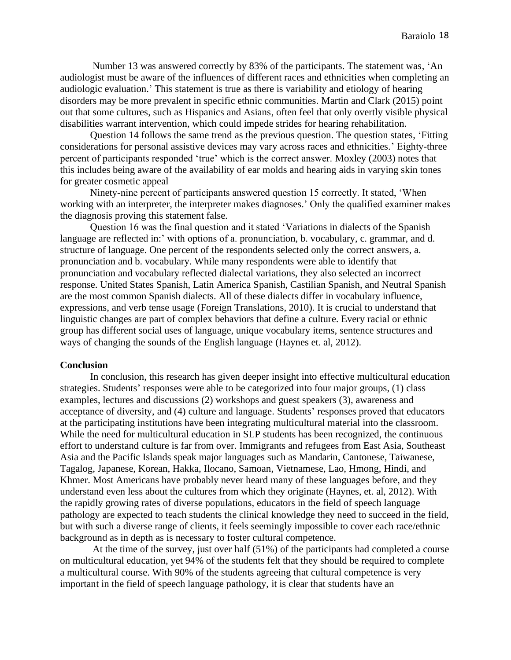Number 13 was answered correctly by 83% of the participants. The statement was, 'An audiologist must be aware of the influences of different races and ethnicities when completing an audiologic evaluation.' This statement is true as there is variability and etiology of hearing disorders may be more prevalent in specific ethnic communities. Martin and Clark (2015) point out that some cultures, such as Hispanics and Asians, often feel that only overtly visible physical disabilities warrant intervention, which could impede strides for hearing rehabilitation.

Question 14 follows the same trend as the previous question. The question states, 'Fitting considerations for personal assistive devices may vary across races and ethnicities.' Eighty-three percent of participants responded 'true' which is the correct answer. Moxley (2003) notes that this includes being aware of the availability of ear molds and hearing aids in varying skin tones for greater cosmetic appeal

Ninety-nine percent of participants answered question 15 correctly. It stated, 'When working with an interpreter, the interpreter makes diagnoses.' Only the qualified examiner makes the diagnosis proving this statement false.

Question 16 was the final question and it stated 'Variations in dialects of the Spanish language are reflected in:' with options of a. pronunciation, b. vocabulary, c. grammar, and d. structure of language. One percent of the respondents selected only the correct answers, a. pronunciation and b. vocabulary. While many respondents were able to identify that pronunciation and vocabulary reflected dialectal variations, they also selected an incorrect response. United States Spanish, Latin America Spanish, Castilian Spanish, and Neutral Spanish are the most common Spanish dialects. All of these dialects differ in vocabulary influence, expressions, and verb tense usage (Foreign Translations, 2010). It is crucial to understand that linguistic changes are part of complex behaviors that define a culture. Every racial or ethnic group has different social uses of language, unique vocabulary items, sentence structures and ways of changing the sounds of the English language (Haynes et. al, 2012).

#### **Conclusion**

In conclusion, this research has given deeper insight into effective multicultural education strategies. Students' responses were able to be categorized into four major groups, (1) class examples, lectures and discussions (2) workshops and guest speakers (3), awareness and acceptance of diversity, and (4) culture and language. Students' responses proved that educators at the participating institutions have been integrating multicultural material into the classroom. While the need for multicultural education in SLP students has been recognized, the continuous effort to understand culture is far from over. Immigrants and refugees from East Asia, Southeast Asia and the Pacific Islands speak major languages such as Mandarin, Cantonese, Taiwanese, Tagalog, Japanese, Korean, Hakka, Ilocano, Samoan, Vietnamese, Lao, Hmong, Hindi, and Khmer. Most Americans have probably never heard many of these languages before, and they understand even less about the cultures from which they originate (Haynes, et. al, 2012). With the rapidly growing rates of diverse populations, educators in the field of speech language pathology are expected to teach students the clinical knowledge they need to succeed in the field, but with such a diverse range of clients, it feels seemingly impossible to cover each race/ethnic background as in depth as is necessary to foster cultural competence.

At the time of the survey, just over half (51%) of the participants had completed a course on multicultural education, yet 94% of the students felt that they should be required to complete a multicultural course. With 90% of the students agreeing that cultural competence is very important in the field of speech language pathology, it is clear that students have an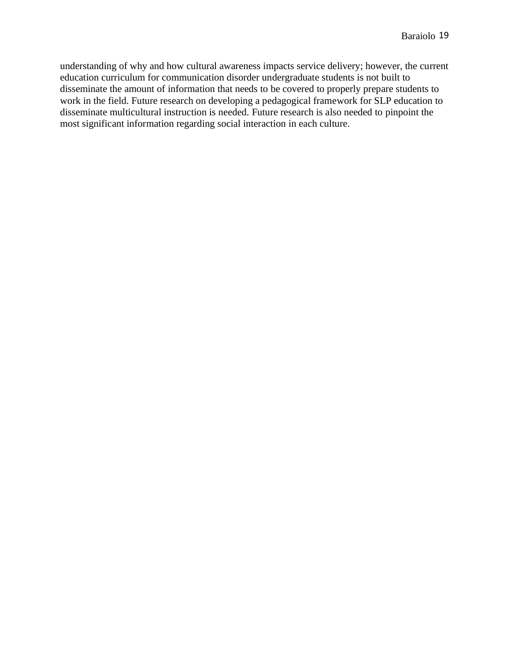understanding of why and how cultural awareness impacts service delivery; however, the current education curriculum for communication disorder undergraduate students is not built to disseminate the amount of information that needs to be covered to properly prepare students to work in the field. Future research on developing a pedagogical framework for SLP education to disseminate multicultural instruction is needed. Future research is also needed to pinpoint the most significant information regarding social interaction in each culture.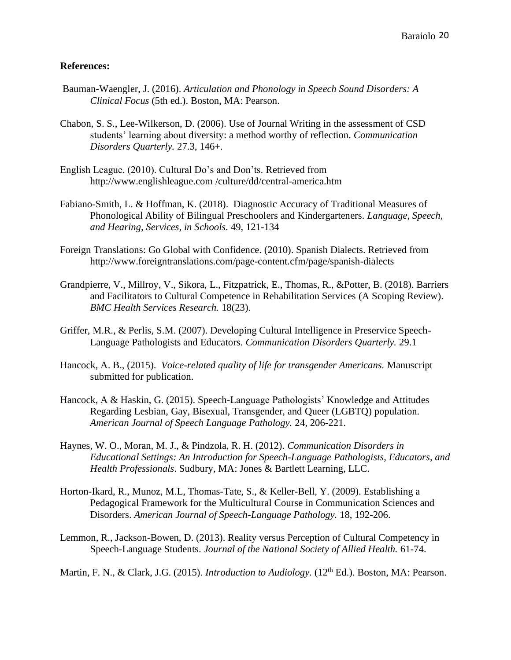## **References:**

- Bauman-Waengler, J. (2016). *Articulation and Phonology in Speech Sound Disorders: A Clinical Focus* (5th ed.). Boston, MA: Pearson.
- Chabon, S. S., Lee-Wilkerson, D. (2006). Use of Journal Writing in the assessment of CSD students' learning about diversity: a method worthy of reflection. *Communication Disorders Quarterly.* 27.3, 146+.
- English League. (2010). Cultural Do's and Don'ts. Retrieved from http://www.englishleague.com /culture/dd/central-america.htm
- Fabiano-Smith, L. & Hoffman, K. (2018). Diagnostic Accuracy of Traditional Measures of Phonological Ability of Bilingual Preschoolers and Kindergarteners. *Language, Speech, and Hearing, Services, in Schools.* 49, 121-134
- Foreign Translations: Go Global with Confidence. (2010). Spanish Dialects. Retrieved from http://www.foreigntranslations.com/page-content.cfm/page/spanish-dialects
- Grandpierre, V., Millroy, V., Sikora, L., Fitzpatrick, E., Thomas, R., &Potter, B. (2018). Barriers and Facilitators to Cultural Competence in Rehabilitation Services (A Scoping Review). *BMC Health Services Research.* 18(23).
- Griffer, M.R., & Perlis, S.M. (2007). Developing Cultural Intelligence in Preservice Speech-Language Pathologists and Educators. *Communication Disorders Quarterly.* 29.1
- Hancock, A. B., (2015). *Voice-related quality of life for transgender Americans.* Manuscript submitted for publication.
- Hancock, A & Haskin, G. (2015). Speech-Language Pathologists' Knowledge and Attitudes Regarding Lesbian, Gay, Bisexual, Transgender, and Queer (LGBTQ) population. *American Journal of Speech Language Pathology.* 24, 206-221.
- Haynes, W. O., Moran, M. J., & Pindzola, R. H. (2012). *Communication Disorders in Educational Settings: An Introduction for Speech-Language Pathologists, Educators, and Health Professionals*. Sudbury, MA: Jones & Bartlett Learning, LLC.
- Horton-Ikard, R., Munoz, M.L, Thomas-Tate, S., & Keller-Bell, Y. (2009). Establishing a Pedagogical Framework for the Multicultural Course in Communication Sciences and Disorders. *American Journal of Speech-Language Pathology.* 18, 192-206.
- Lemmon, R., Jackson-Bowen, D. (2013). Reality versus Perception of Cultural Competency in Speech-Language Students. *Journal of the National Society of Allied Health.* 61-74.

Martin, F. N., & Clark, J.G. (2015). *Introduction to Audiology*. (12<sup>th</sup> Ed.). Boston, MA: Pearson.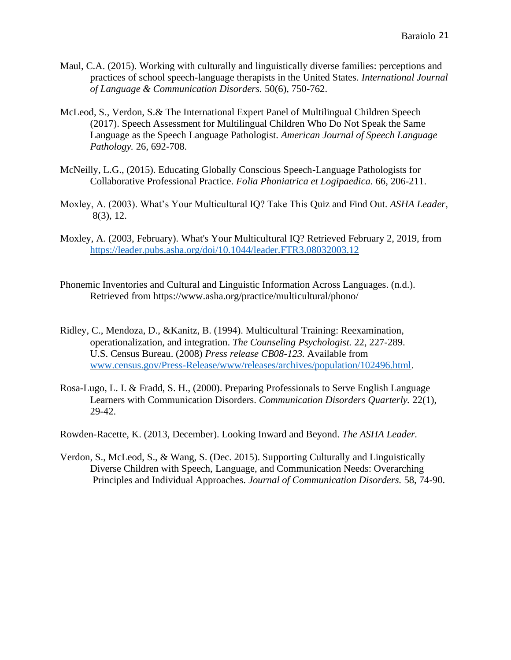- Maul, C.A. (2015). Working with culturally and linguistically diverse families: perceptions and practices of school speech-language therapists in the United States. *International Journal of Language & Communication Disorders.* 50(6), 750-762.
- McLeod, S., Verdon, S.& The International Expert Panel of Multilingual Children Speech (2017). Speech Assessment for Multilingual Children Who Do Not Speak the Same Language as the Speech Language Pathologist. *American Journal of Speech Language Pathology.* 26, 692-708.
- McNeilly, L.G., (2015). Educating Globally Conscious Speech-Language Pathologists for Collaborative Professional Practice. *Folia Phoniatrica et Logipaedica.* 66, 206-211.
- Moxley, A. (2003). What's Your Multicultural IQ? Take This Quiz and Find Out. *ASHA Leader,* 8(3), 12.
- Moxley, A. (2003, February). What's Your Multicultural IQ? Retrieved February 2, 2019, from <https://leader.pubs.asha.org/doi/10.1044/leader.FTR3.08032003.12>
- Phonemic Inventories and Cultural and Linguistic Information Across Languages. (n.d.). Retrieved from https://www.asha.org/practice/multicultural/phono/
- Ridley, C., Mendoza, D., &Kanitz, B. (1994). Multicultural Training: Reexamination, operationalization, and integration. *The Counseling Psychologist.* 22, 227-289. U.S. Census Bureau. (2008) *Press release CB08-123.* Available from [www.census.gov/Press-Release/www/releases/archives/population/102496.html.](http://www.census.gov/Press-Release/www/releases/archives/population/102496.html)
- Rosa-Lugo, L. I. & Fradd, S. H., (2000). Preparing Professionals to Serve English Language Learners with Communication Disorders. *Communication Disorders Quarterly.* 22(1), 29-42.
- Rowden-Racette, K. (2013, December). Looking Inward and Beyond. *The ASHA Leader.*
- Verdon, S., McLeod, S., & Wang, S. (Dec. 2015). Supporting Culturally and Linguistically Diverse Children with Speech, Language, and Communication Needs: Overarching Principles and Individual Approaches. *Journal of Communication Disorders.* 58, 74-90.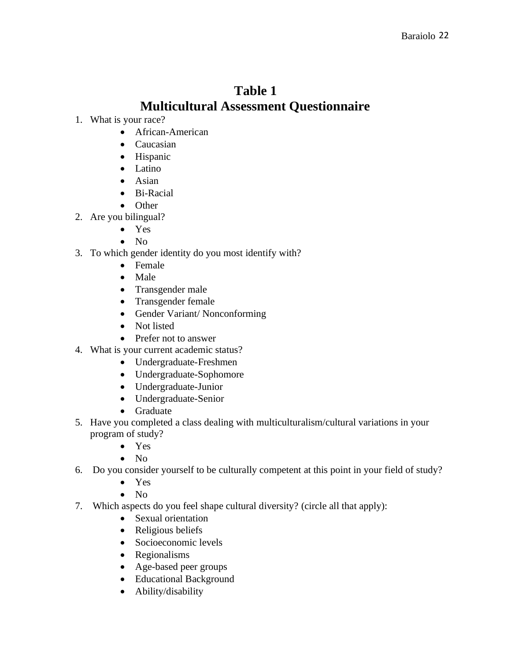## **Table 1 Multicultural Assessment Questionnaire**

- 1. What is your race?
	- African-American
	- Caucasian
	- Hispanic
	- Latino
	- Asian
	- Bi-Racial
	- Other
- 2. Are you bilingual?
	- Yes
	- No
- 3. To which gender identity do you most identify with?
	- Female
	- Male
	- Transgender male
	- Transgender female
	- Gender Variant/ Nonconforming
	- Not listed
	- Prefer not to answer
- 4. What is your current academic status?
	- Undergraduate-Freshmen
	- Undergraduate-Sophomore
	- Undergraduate-Junior
	- Undergraduate-Senior
	- Graduate
- 5. Have you completed a class dealing with multiculturalism/cultural variations in your program of study?
	- Yes
	- No
- 6. Do you consider yourself to be culturally competent at this point in your field of study?
	- Yes
	- No
- 7. Which aspects do you feel shape cultural diversity? (circle all that apply):
	- Sexual orientation
	- Religious beliefs
	- Socioeconomic levels
	- Regionalisms
	- Age-based peer groups
	- Educational Background
	- Ability/disability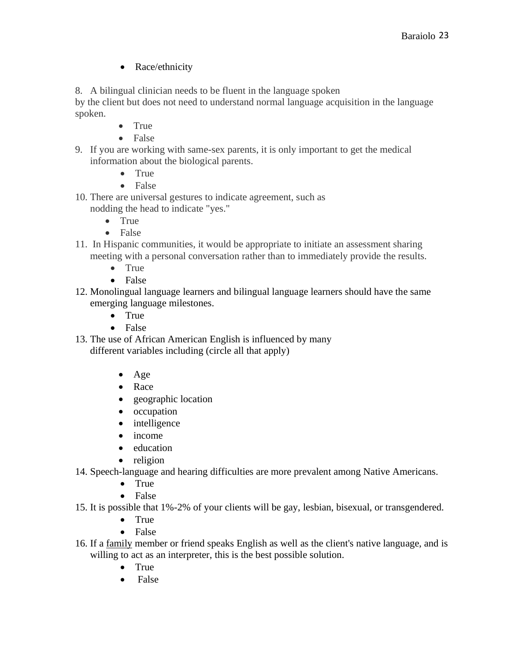• Race/ethnicity

8. A bilingual clinician needs to be fluent in the language spoken

by the client but does not need to understand normal language acquisition in the language spoken.

- True
- False
- 9. If you are working with same-sex parents, it is only important to get the medical information about the biological parents.
	- True
	- False
- 10. There are universal gestures to indicate agreement, such as nodding the head to indicate "yes."
	- True
	- False
- 11. In Hispanic communities, it would be appropriate to initiate an assessment sharing meeting with a personal conversation rather than to immediately provide the results.
	- True
	- False
- 12. Monolingual language learners and bilingual language learners should have the same emerging language milestones.
	- True
	- False
- 13. The use of African American English is influenced by many different variables including (circle all that apply)
	- Age
	- Race
	- geographic location
	- occupation
	- intelligence
	- income
	- education
	- religion
- 14. Speech-language and hearing difficulties are more prevalent among Native Americans.
	- True
	- False
- 15. It is possible that 1%-2% of your clients will be gay, lesbian, bisexual, or transgendered.
	- True
	- False
- 16. If a [family](http://go.galegroup.com.libserv-prd.bridgew.edu/ps/retrieve.do?tabID=T002&resultListType=RESULT_LIST&searchResultsType=SingleTab&searchType=BasicSearchForm¤tPosition=8&docId=GALE%7CA334486720&docType=Report&sort=Relevance&contentSegment=&prodId=AONE&contentSet=GALE%7CA334486720&searchId=R1&userGroupName=mlin_s_bridcoll&inPS=true) member or friend speaks English as well as the client's native language, and is willing to act as an interpreter, this is the best possible solution.
	- True
	- False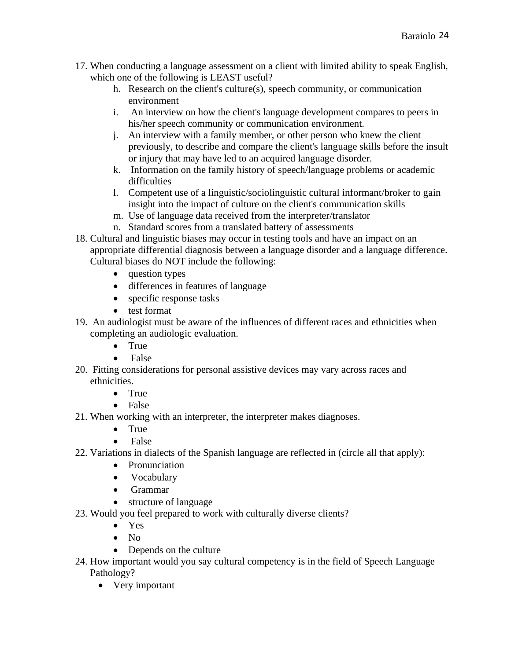- 17. When conducting a language assessment on a client with limited ability to speak English, which one of the following is LEAST useful?
	- h. Research on the client's culture(s), speech community, or communication environment
	- i. An interview on how the client's language development compares to peers in his/her speech community or communication environment.
	- j. An interview with a family member, or other person who knew the client previously, to describe and compare the client's language skills before the insult or injury that may have led to an acquired language disorder.
	- k. Information on the family history of speech/language problems or academic difficulties
	- l. Competent use of a linguistic/sociolinguistic cultural informant/broker to gain insight into the impact of culture on the client's communication skills
	- m. Use of language data received from the interpreter/translator
	- n. Standard scores from a translated battery of assessments
- 18. Cultural and linguistic biases may occur in testing tools and have an impact on an appropriate differential diagnosis between a language disorder and a language difference. Cultural biases do NOT include the following:
	- question types
	- differences in features of language
	- specific response tasks
	- test format
- 19. An audiologist must be aware of the influences of different races and ethnicities when completing an audiologic evaluation.
	- True
	- False
- 20. Fitting considerations for personal assistive devices may vary across races and ethnicities.
	- True
	- False
- 21. When working with an interpreter, the interpreter makes diagnoses.
	- True
	- False
- 22. Variations in dialects of the Spanish language are reflected in (circle all that apply):
	- Pronunciation
	- Vocabulary
	- Grammar
	- structure of language
- 23. Would you feel prepared to work with culturally diverse clients?
	- Yes
	- No
	- Depends on the culture
- 24. How important would you say cultural competency is in the field of Speech Language Pathology?
	- Very important